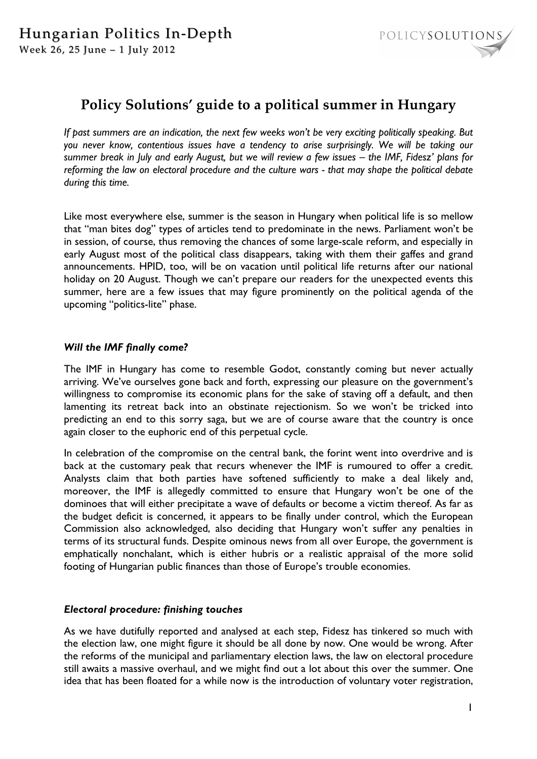

# **Policy Solutions' guide to a political summer in Hungary**

*If past summers are an indication, the next few weeks won't be very exciting politically speaking. But you never know, contentious issues have a tendency to arise surprisingly. We will be taking our summer break in July and early August, but we will review a few issues – the IMF, Fidesz' plans for reforming the law on electoral procedure and the culture wars - that may shape the political debate during this time.* 

Like most everywhere else, summer is the season in Hungary when political life is so mellow that "man bites dog" types of articles tend to predominate in the news. Parliament won't be in session, of course, thus removing the chances of some large-scale reform, and especially in early August most of the political class disappears, taking with them their gaffes and grand announcements. HPID, too, will be on vacation until political life returns after our national holiday on 20 August. Though we can't prepare our readers for the unexpected events this summer, here are a few issues that may figure prominently on the political agenda of the upcoming "politics-lite" phase.

## *Will the IMF finally come?*

The IMF in Hungary has come to resemble Godot, constantly coming but never actually arriving. We've ourselves gone back and forth, expressing our pleasure on the government's willingness to compromise its economic plans for the sake of staving off a default, and then lamenting its retreat back into an obstinate rejectionism. So we won't be tricked into predicting an end to this sorry saga, but we are of course aware that the country is once again closer to the euphoric end of this perpetual cycle.

In celebration of the compromise on the central bank, the forint went into overdrive and is back at the customary peak that recurs whenever the IMF is rumoured to offer a credit. Analysts claim that both parties have softened sufficiently to make a deal likely and, moreover, the IMF is allegedly committed to ensure that Hungary won't be one of the dominoes that will either precipitate a wave of defaults or become a victim thereof. As far as the budget deficit is concerned, it appears to be finally under control, which the European Commission also acknowledged, also deciding that Hungary won't suffer any penalties in terms of its structural funds. Despite ominous news from all over Europe, the government is emphatically nonchalant, which is either hubris or a realistic appraisal of the more solid footing of Hungarian public finances than those of Europe's trouble economies.

#### *Electoral procedure: finishing touches*

As we have dutifully reported and analysed at each step, Fidesz has tinkered so much with the election law, one might figure it should be all done by now. One would be wrong. After the reforms of the municipal and parliamentary election laws, the law on electoral procedure still awaits a massive overhaul, and we might find out a lot about this over the summer. One idea that has been floated for a while now is the introduction of voluntary voter registration,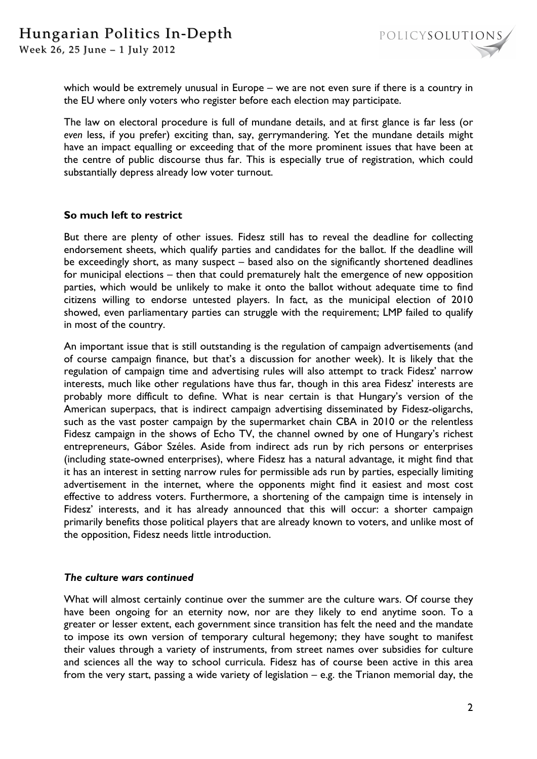Week 26, 25 June - 1 July 2012

which would be extremely unusual in Europe – we are not even sure if there is a country in the EU where only voters who register before each election may participate.

The law on electoral procedure is full of mundane details, and at first glance is far less (or *even* less, if you prefer) exciting than, say, gerrymandering. Yet the mundane details might have an impact equalling or exceeding that of the more prominent issues that have been at the centre of public discourse thus far. This is especially true of registration, which could substantially depress already low voter turnout.

## **So much left to restrict**

But there are plenty of other issues. Fidesz still has to reveal the deadline for collecting endorsement sheets, which qualify parties and candidates for the ballot. If the deadline will be exceedingly short, as many suspect – based also on the significantly shortened deadlines for municipal elections – then that could prematurely halt the emergence of new opposition parties, which would be unlikely to make it onto the ballot without adequate time to find citizens willing to endorse untested players. In fact, as the municipal election of 2010 showed, even parliamentary parties can struggle with the requirement; LMP failed to qualify in most of the country.

An important issue that is still outstanding is the regulation of campaign advertisements (and of course campaign finance, but that's a discussion for another week). It is likely that the regulation of campaign time and advertising rules will also attempt to track Fidesz' narrow interests, much like other regulations have thus far, though in this area Fidesz' interests are probably more difficult to define. What is near certain is that Hungary's version of the American superpacs, that is indirect campaign advertising disseminated by Fidesz-oligarchs, such as the vast poster campaign by the supermarket chain CBA in 2010 or the relentless Fidesz campaign in the shows of Echo TV, the channel owned by one of Hungary's richest entrepreneurs, Gábor Széles. Aside from indirect ads run by rich persons or enterprises (including state-owned enterprises), where Fidesz has a natural advantage, it might find that it has an interest in setting narrow rules for permissible ads run by parties, especially limiting advertisement in the internet, where the opponents might find it easiest and most cost effective to address voters. Furthermore, a shortening of the campaign time is intensely in Fidesz' interests, and it has already announced that this will occur: a shorter campaign primarily benefits those political players that are already known to voters, and unlike most of the opposition, Fidesz needs little introduction.

#### *The culture wars continued*

What will almost certainly continue over the summer are the culture wars. Of course they have been ongoing for an eternity now, nor are they likely to end anytime soon. To a greater or lesser extent, each government since transition has felt the need and the mandate to impose its own version of temporary cultural hegemony; they have sought to manifest their values through a variety of instruments, from street names over subsidies for culture and sciences all the way to school curricula. Fidesz has of course been active in this area from the very start, passing a wide variety of legislation – e.g. the Trianon memorial day, the